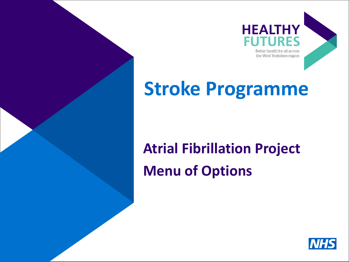

### **Stroke Programme**

### **Atrial Fibrillation Project Menu of Options**

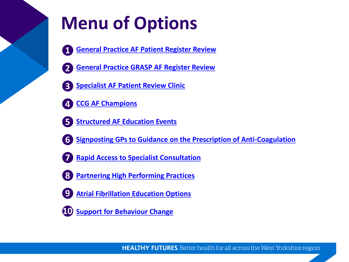### **Menu of Options**

- **1**
- **1. [General Practice AF Patient Register Review](#page-2-0)**
- **2. [General Practice GRASP AF Register Review](#page-3-0) 2**
- **3. [Specialist AF Patient Review Clinic](#page-4-0) 3**
- **4. [CCG AF Champions](#page-5-0) 4**
- **5. [Structured AF Education Events](#page-6-0) 5**
- - **6. [Signposting GPs to Guidance on the Prescription of Anti-Coagulation](#page-7-0) 6**
	- **7. [Rapid Access to Specialist Consultation](#page-8-0) 7**
	- **8. [Partnering High Performing Practices](#page-9-0) 8**
	- **9**
		- **9. [Atrial Fibrillation Education Options](#page-10-0)**
	- **10. [Support for Behaviour Change](#page-11-0) 10**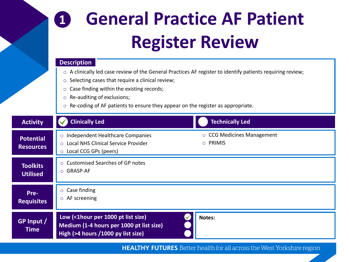### **General Practice AF Patient Register Review 1**

#### **Description**

- o A clinically led case review of the General Practices AF register to identify patients requiring review;
- o Selecting cases that require a clinical review;
- o Case finding within the existing records;
- o Re-auditing of exclusions;
- o Re-coding of AF patients to ensure they appear on the register as appropriate.

<span id="page-2-0"></span>

| <b>Activity</b>                      | <b>Clinically Led</b><br><b>Technically Led</b>                                                                                                              |
|--------------------------------------|--------------------------------------------------------------------------------------------------------------------------------------------------------------|
| <b>Potential</b><br><b>Resources</b> | $\circ$ CCG Medicines Management<br>o Independent Healthcare Companies<br>$\circ$ PRIMIS<br>○ Local NHS Clinical Service Provider<br>○ Local CCG GPs (peers) |
| <b>Toolkits</b><br><b>Utilised</b>   | ○ Customised Searches of GP notes<br>O GRASP-AF                                                                                                              |
| Pre-<br><b>Requisites</b>            | $\circ$ Case finding<br>$\circ$ AF screening                                                                                                                 |
| GP Input /<br><b>Time</b>            | Low (<1hour per 1000 pt list size)<br>Notes:<br>Medium (1-4 hours per 1000 pt list size)<br>High (>4 hours /1000 py list size)                               |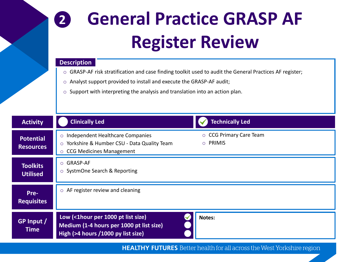### **2 General Practice GRASP AF Register Review**

#### **Description**

- o GRASP-AF risk stratification and case finding toolkit used to audit the General Practices AF register;
- o Analyst support provided to install and execute the GRASP-AF audit;
- o Support with interpreting the analysis and translation into an action plan.

<span id="page-3-0"></span>

| <b>Activity</b>                    | <b>Clinically Led</b><br><b>Technically Led</b>                                                                                                                         |
|------------------------------------|-------------------------------------------------------------------------------------------------------------------------------------------------------------------------|
| Potential<br><b>Resources</b>      | ○ CCG Primary Care Team<br>o Independent Healthcare Companies<br>O PRIMIS<br>○ Yorkshire & Humber CSU - Data Quality Team<br><b>CCG Medicines Management</b><br>$\circ$ |
| <b>Toolkits</b><br><b>Utilised</b> | O GRASP-AF<br>○ SystmOne Search & Reporting                                                                                                                             |
| Pre-<br><b>Requisites</b>          | $\circ$ AF register review and cleaning                                                                                                                                 |
| GP Input /<br><b>Time</b>          | Low (<1hour per 1000 pt list size)<br>Notes:<br>Medium (1-4 hours per 1000 pt list size)<br>High (>4 hours /1000 py list size)                                          |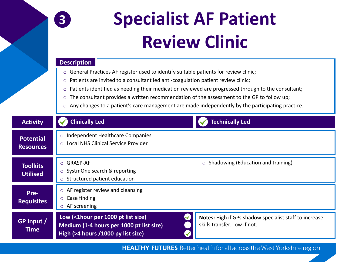### **3**

# **Specialist AF Patient Review Clinic**

#### **Description**

- o General Practices AF register used to identify suitable patients for review clinic;
- o Patients are invited to a consultant led anti-coagulation patient review clinic;
- $\circ$  Patients identified as needing their medication reviewed are progressed through to the consultant;
- o The consultant provides a written recommendation of the assessment to the GP to follow up;
- o Any changes to a patient's care management are made independently by the participating practice.

<span id="page-4-0"></span>

| <b>Activity</b>                      | <b>Clinically Led</b><br><b>Technically Led</b>                                                                                                                                                                                        |
|--------------------------------------|----------------------------------------------------------------------------------------------------------------------------------------------------------------------------------------------------------------------------------------|
| <b>Potential</b><br><b>Resources</b> | o Independent Healthcare Companies<br>Local NHS Clinical Service Provider<br>$\circ$                                                                                                                                                   |
| <b>Toolkits</b><br><b>Utilised</b>   | $\circ$ Shadowing (Education and training)<br>O GRASP-AF<br>○ SystmOne search & reporting<br>Structured patient education<br>$\circ$                                                                                                   |
| Pre-<br><b>Requisites</b>            | $\circ$ AF register review and cleansing<br>$\circ$ Case finding<br>$\circ$ AF screening                                                                                                                                               |
| GP Input /<br><b>Time</b>            | Low (<1hour per 1000 pt list size)<br>Notes: High if GPs shadow specialist staff to increase<br>skills transfer. Low if not.<br>Medium (1-4 hours per 1000 pt list size)<br>High (>4 hours /1000 py list size)<br>$\blacktriangledown$ |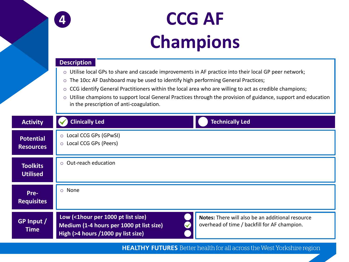

### **CCG AF Champions**

#### **Description**

- o Utilise local GPs to share and cascade improvements in AF practice into their local GP peer network;
- $\circ$  The 10cc AF Dashboard may be used to identify high performing General Practices;
- o CCG identify General Practitioners within the local area who are willing to act as credible champions;
- o Utilise champions to support local General Practices through the provision of guidance, support and education in the prescription of anti-coagulation.

<span id="page-5-0"></span>

| <b>Activity</b>                      | <b>Clinically Led</b><br><b>Technically Led</b>                                                                                                                                                                          |
|--------------------------------------|--------------------------------------------------------------------------------------------------------------------------------------------------------------------------------------------------------------------------|
| <b>Potential</b><br><b>Resources</b> | ○ Local CCG GPs (GPwSI)<br>○ Local CCG GPs (Peers)                                                                                                                                                                       |
| <b>Toolkits</b><br><b>Utilised</b>   | $\circ$ Out-reach education                                                                                                                                                                                              |
| Pre-<br><b>Requisites</b>            | o None                                                                                                                                                                                                                   |
| GP Input /<br><b>Time</b>            | Low (<1hour per 1000 pt list size)<br>Notes: There will also be an additional resource<br>overhead of time / backfill for AF champion.<br>Medium (1-4 hours per 1000 pt list size)<br>High (>4 hours /1000 py list size) |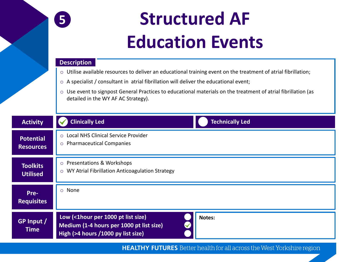

### **Structured AF Education Events**

#### **Description**

- o Utilise available resources to deliver an educational training event on the treatment of atrial fibrillation;
- o A specialist / consultant in atrial fibrillation will deliver the educational event;
- o Use event to signpost General Practices to educational materials on the treatment of atrial fibrillation (as detailed in the WY AF AC Strategy).

<span id="page-6-0"></span>

| <b>Activity</b>                      | <b>Clinically Led</b><br><b>Technically Led</b>                                                                                                        |
|--------------------------------------|--------------------------------------------------------------------------------------------------------------------------------------------------------|
| <b>Potential</b><br><b>Resources</b> | ○ Local NHS Clinical Service Provider<br>o Pharmaceutical Companies                                                                                    |
| <b>Toolkits</b><br><b>Utilised</b>   | ○ Presentations & Workshops<br>WY Atrial Fibrillation Anticoagulation Strategy<br>$\circ$                                                              |
| Pre-<br><b>Requisites</b>            | o None                                                                                                                                                 |
| GP Input /<br><b>Time</b>            | Low (<1hour per 1000 pt list size)<br>Notes:<br>$\blacktriangledown$<br>Medium (1-4 hours per 1000 pt list size)<br>High (>4 hours /1000 py list size) |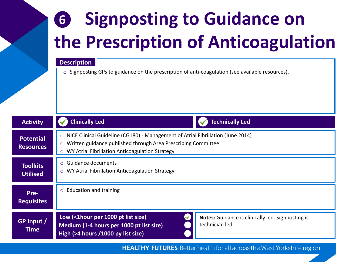### **6 Signposting to Guidance on the Prescription of Anticoagulation**

#### **Description**

o Signposting GPs to guidance on the prescription of anti-coagulation (see available resources).

<span id="page-7-0"></span>

| <b>Activity</b>                    | <b>Clinically Led</b><br><b>Technically Led</b>                                                                                                                                                                                      |
|------------------------------------|--------------------------------------------------------------------------------------------------------------------------------------------------------------------------------------------------------------------------------------|
| Potential<br><b>Resources</b>      | NICE Clinical Guideline (CG180) - Management of Atrial Fibrillation (June 2014)<br>$\circ$<br>Written guidance published through Area Prescribing Committee<br>$\circ$<br>WY Atrial Fibrillation Anticoagulation Strategy<br>$\circ$ |
| <b>Toolkits</b><br><b>Utilised</b> | <b>Guidance documents</b><br>$\circ$<br>WY Atrial Fibrillation Anticoagulation Strategy<br>$\circ$                                                                                                                                   |
| Pre-<br><b>Requisites</b>          | <b>Education and training</b><br>$\circ$                                                                                                                                                                                             |
| GP Input /<br><b>Time</b>          | Low (<1hour per 1000 pt list size)<br>Notes: Guidance is clinically led. Signposting is<br>technician led.<br>Medium (1-4 hours per 1000 pt list size)<br>High (>4 hours /1000 py list size)                                         |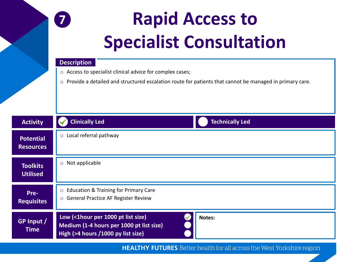

# **Rapid Access to Specialist Consultation**

#### **Description**

- o Access to specialist clinical advice for complex cases;
- o Provide a detailed and structured escalation route for patients that cannot be managed in primary care.

<span id="page-8-0"></span>

| <b>Activity</b>                      | <b>Clinically Led</b><br><b>Technically Led</b>                                                                                |
|--------------------------------------|--------------------------------------------------------------------------------------------------------------------------------|
| <b>Potential</b><br><b>Resources</b> | o Local referral pathway                                                                                                       |
| <b>Toolkits</b><br><b>Utilised</b>   | $\circ$ Not applicable                                                                                                         |
| Pre-<br><b>Requisites</b>            | ○ Education & Training for Primary Care<br>○ General Practice AF Register Review                                               |
| GP Input /<br><b>Time</b>            | Low (<1hour per 1000 pt list size)<br>Notes:<br>Medium (1-4 hours per 1000 pt list size)<br>High (>4 hours /1000 py list size) |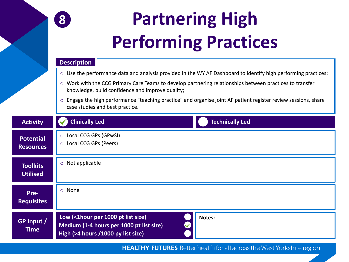

# **Partnering High Performing Practices**

#### **Description**

- $\circ$  Use the performance data and analysis provided in the WY AF Dashboard to identify high performing practices;
- $\circ$  Work with the CCG Primary Care Teams to develop partnering relationships between practices to transfer knowledge, build confidence and improve quality;
- o Engage the high performance "teaching practice" and organise joint AF patient register review sessions, share case studies and best practice.

<span id="page-9-0"></span>

| <b>Activity</b>                    | <b>Clinically Led</b><br><b>Technically Led</b>                                                                                |
|------------------------------------|--------------------------------------------------------------------------------------------------------------------------------|
| Potential<br><b>Resources</b>      | ○ Local CCG GPs (GPwSI)<br>○ Local CCG GPs (Peers)                                                                             |
| <b>Toolkits</b><br><b>Utilised</b> | Not applicable<br>$\circ$                                                                                                      |
| Pre-<br><b>Requisites</b>          | o None                                                                                                                         |
| GP Input /<br><b>Time</b>          | Low (<1hour per 1000 pt list size)<br>Notes:<br>Medium (1-4 hours per 1000 pt list size)<br>High (>4 hours /1000 py list size) |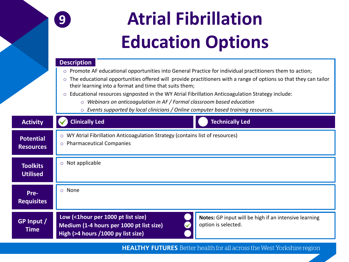

# **Atrial Fibrillation Education Options**

#### **Description**

- o Promote AF educational opportunities into General Practice for individual practitioners them to action;
- $\circ$  The educational opportunities offered will provide practitioners with a range of options so that they can tailor their learning into a format and time that suits them;
- o Educational resources signposted in the WY Atrial Fibrillation Anticoagulation Strategy include:
	- o *Webinars on anticoagulation in AF / Formal classroom based education*
	- o *Events supported by local clinicians / Online computer based training resources.*

<span id="page-10-0"></span>

| <b>Activity</b>                      | <b>Clinically Led</b><br><b>Technically Led</b>                                                                                                                                                      |
|--------------------------------------|------------------------------------------------------------------------------------------------------------------------------------------------------------------------------------------------------|
| <b>Potential</b><br><b>Resources</b> | o WY Atrial Fibrillation Anticoagulation Strategy (contains list of resources)<br>o Pharmaceutical Companies                                                                                         |
| <b>Toolkits</b><br><b>Utilised</b>   | $\circ$ Not applicable                                                                                                                                                                               |
| Pre-<br><b>Requisites</b>            | o None                                                                                                                                                                                               |
| GP Input /<br><b>Time</b>            | Low (<1hour per 1000 pt list size)<br>Notes: GP input will be high if an intensive learning<br>option is selected.<br>Medium (1-4 hours per 1000 pt list size)<br>High (>4 hours /1000 py list size) |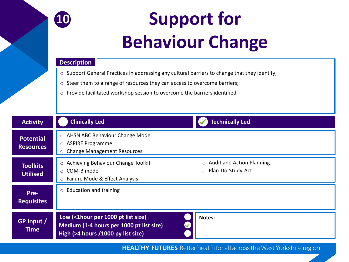

# **Support for Behaviour Change**

#### **Description**

- o Support General Practices in addressing any cultural barriers to change that they identify;
- o Steer them to a range of resources they can access to overcome barriers;
- o Provide facilitated workshop session to overcome the barriers identified.

<span id="page-11-0"></span>

| <b>Activity</b>                      | <b>Clinically Led</b><br><b>Technically Led</b>                                                                                                                                  |
|--------------------------------------|----------------------------------------------------------------------------------------------------------------------------------------------------------------------------------|
| <b>Potential</b><br><b>Resources</b> | ○ AHSN ABC Behaviour Change Model<br><b>ASPIRE Programme</b><br>$\circ$<br><b>Change Management Resources</b><br>$\circ$                                                         |
| <b>Toolkits</b><br><b>Utilised</b>   | $\circ$ Audit and Action Planning<br>Achieving Behaviour Change Toolkit<br>$\circ$<br>O Plan-Do-Study-Act<br>COM-B model<br>$\circ$<br>Failure Mode & Effect Analysis<br>$\circ$ |
| Pre-<br><b>Requisites</b>            | <b>Education and training</b><br>$\circ$                                                                                                                                         |
| GP Input /<br><b>Time</b>            | Low (<1hour per 1000 pt list size)<br>Notes:<br>Medium (1-4 hours per 1000 pt list size)<br>High (>4 hours /1000 py list size)                                                   |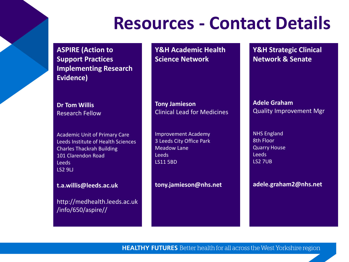### **Resources - Contact Details**

**ASPIRE (Action to Support Practices Implementing Research Evidence)**

**Dr Tom Willis**  Research Fellow

Academic Unit of Primary Care Leeds Institute of Health Sciences Charles Thackrah Building 101 Clarendon Road Leeds LS2 9LJ

**t.a.willis@leeds.ac.uk**

http://medhealth.leeds.ac.uk /info/650/aspire//

**Y&H Academic Health Science Network**

**Tony Jamieson** Clinical Lead for Medicines

Improvement Academy 3 Leeds City Office Park Meadow Lane Leeds LS11 5BD

**tony.jamieson@nhs.net**

**Y&H Strategic Clinical Network & Senate**

**Adele Graham** Quality Improvement Mgr

NHS England 8th Floor Quarry House Leeds LS2 7UB

**adele.graham2@nhs.net**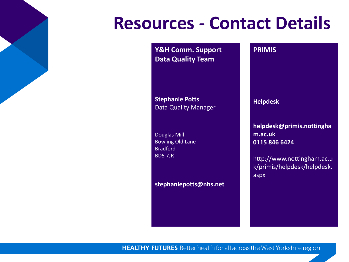### **Resources - Contact Details**

**Y&H Comm. Support Data Quality Team**

**Stephanie Potts** Data Quality Manager

Douglas Mill Bowling Old Lane Bradford BD5 7JR

**stephaniepotts@nhs.net**

# **Helpdesk**

**PRIMIS**

**helpdesk@primis.nottingha m.ac.uk 0115 846 6424**

http://www.nottingham.ac.u k/primis/helpdesk/helpdesk. aspx